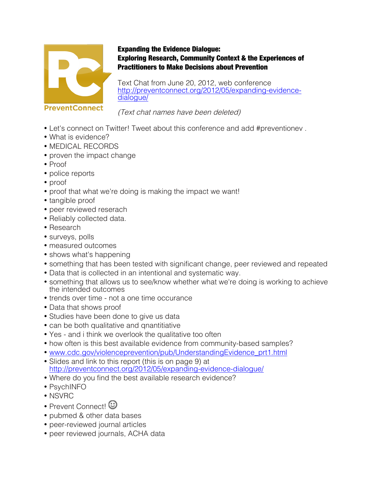

## Expanding the Evidence Dialogue: Exploring Research, Community Context & the Experiences of Practitioners to Make Decisions about Prevention

Text Chat from June 20, 2012, web conference http://preventconnect.org/2012/05/expanding-evidence-<br>dialogue/

(Text chat names have been deleted)

- Let's connect on Twitter! Tweet about this conference and add #preventionev .
- What is evidence?
- MEDICAL RECORDS
- proven the impact change
- Proof
- police reports
- proof
- proof that what we're doing is making the impact we want!
- tangible proof
- peer reviewed reserach
- Reliably collected data.
- Research
- surveys, polls
- measured outcomes
- shows what's happening
- something that has been tested with significant change, peer reviewed and repeated
- Data that is collected in an intentional and systematic way.
- something that allows us to see/know whether what we're doing is working to achieve the intended outcomes
- trends over time not a one time occurance
- Data that shows proof
- Studies have been done to give us data
- can be both qualitative and qnantitiative
- Yes and i think we overlook the qualitative too often
- how often is this best available evidence from community-based samples?
- www.cdc.gov/violenceprevention/pub/UnderstandingEvidence\_prt1.html
- Slides and link to this report (this is on page 9) at http://preventconnect.org/2012/05/expanding-evidence-dialogue/
- Where do you find the best available research evidence?
- PsychINFO
- NSVRC
- Prevent Connect<sup>1</sup> ©
- pubmed & other data bases
- peer-reviewed journal articles
- peer reviewed journals, ACHA data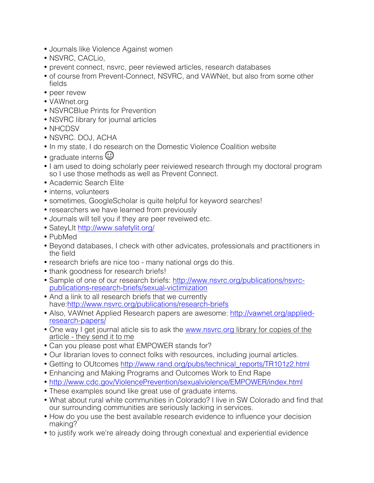- Journals like Violence Against women
- NSVRC, CACLio,
- prevent connect, nsvrc, peer reviewed articles, research databases
- of course from Prevent-Connect, NSVRC, and VAWNet, but also from some other fields
- peer revew
- VAWnet.org
- NSVRCBlue Prints for Prevention
- NSVRC library for journal articles
- NHCDSV
- NSVRC. DOJ, ACHA
- In my state, I do research on the Domestic Violence Coalition website
- graduate interns  $\mathbb{C}$
- I am used to doing scholarly peer reiviewed research through my doctoral program so I use those methods as well as Prevent Connect.
- Academic Search Elite
- interns, volunteers
- sometimes, GoogleScholar is quite helpful for keyword searches!
- researchers we have learned from previously
- Journals will tell you if they are peer reveiwed etc.
- SateyLIt http://www.safetylit.org/
- PubMed
- Beyond databases, I check with other advicates, professionals and practitioners in the field
- research briefs are nice too many national orgs do this.
- thank goodness for research briefs!
- Sample of one of our research briefs: http://www.nsvrc.org/publications/nsvrcpublications-research-briefs/sexual-victimization
- And a link to all research briefs that we currently have:http://www.nsvrc.org/publications/research-briefs
- Also, VAWnet Applied Research papers are awesome: http://vawnet.org/appliedresearch-papers/
- One way I get journal aticle sis to ask the www.nsvrc.org library for copies of the article - they send it to me
- Can you please post what EMPOWER stands for?
- Our librarian loves to connect folks with resources, including journal articles.
- Getting to OUtcomes http://www.rand.org/pubs/technical\_reports/TR101z2.html
- Enhancing and Making Programs and Outcomes Work to End Rape
- http://www.cdc.gov/ViolencePrevention/sexualviolence/EMPOWER/index.html
- These examples sound like great use of graduate interns.
- What about rural white communities in Colorado? I live in SW Colorado and find that our surrounding communities are seriously lacking in services.
- How do you use the best available research evidence to influence your decision making?
- to justify work we're already doing through conextual and experiential evidence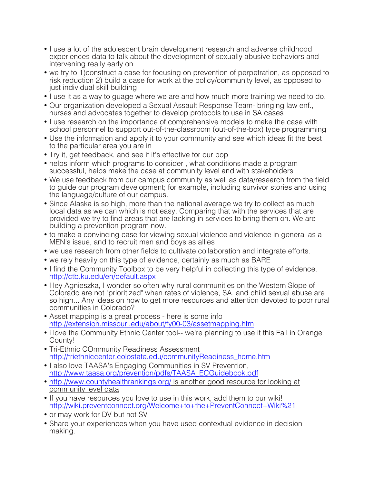- I use a lot of the adolescent brain development research and adverse childhood experiences data to talk about the development of sexually abusive behaviors and intervening really early on.
- we try to 1)construct a case for focusing on prevention of perpetration, as opposed to risk reduction 2) build a case for work at the policy/community level, as opposed to just individual skill building
- I use it as a way to guage where we are and how much more training we need to do.
- Our organization developed a Sexual Assault Response Team- bringing law enf., nurses and advocates together to develop protocols to use in SA cases
- I use research on the importance of comprehensive models to make the case with school personnel to support out-of-the-classroom (out-of-the-box) type programming
- Use the information and apply it to your community and see which ideas fit the best to the particular area you are in
- Try it, get feedback, and see if it's effective for our pop
- helps inform which programs to consider , what conditions made a program successful, helps make the case at community level and with stakeholders
- We use feedback from our campus community as well as data/research from the field to guide our program development; for example, including survivor stories and using the language/culture of our campus.
- Since Alaska is so high, more than the national average we try to collect as much local data as we can which is not easy. Comparing that with the services that are provided we try to find areas that are lacking in services to bring them on. We are building a prevention program now.
- to make a convincing case for viewing sexual violence and violence in general as a MEN's issue, and to recruit men and boys as allies
- we use research from other fields to cultivate collaboration and integrate efforts.
- we rely heavily on this type of evidence, certainly as much as BARE
- I find the Community Toolbox to be very helpful in collecting this type of evidence. http://ctb.ku.edu/en/default.aspx
- Hey Agnieszka, I wonder so often why rural communities on the Western Slope of Colorado are not "prioritized" when rates of violence, SA, and child sexual abuse are so high... Any ideas on how to get more resources and attention devoted to poor rural communities in Colorado?
- Asset mapping is a great process here is some info http://extension.missouri.edu/about/fy00-03/assetmapping.htm
- i love the Community Ethnic Center tool-- we're planning to use it this Fall in Orange County!
- Tri-Ethnic COmmunity Readiness Assessment http://triethniccenter.colostate.edu/communityReadiness\_home.htm
- I also love TAASA's Engaging Communities in SV Prevention, http://www.taasa.org/prevention/pdfs/TAASA\_ECGuidebook.pdf
- http://www.countyhealthrankings.org/ is another good resource for looking at community level data
- If you have resources you love to use in this work, add them to our wiki! http://wiki.preventconnect.org/Welcome+to+the+PreventConnect+Wiki%21
- or may work for DV but not SV
- Share your experiences when you have used contextual evidence in decision making.